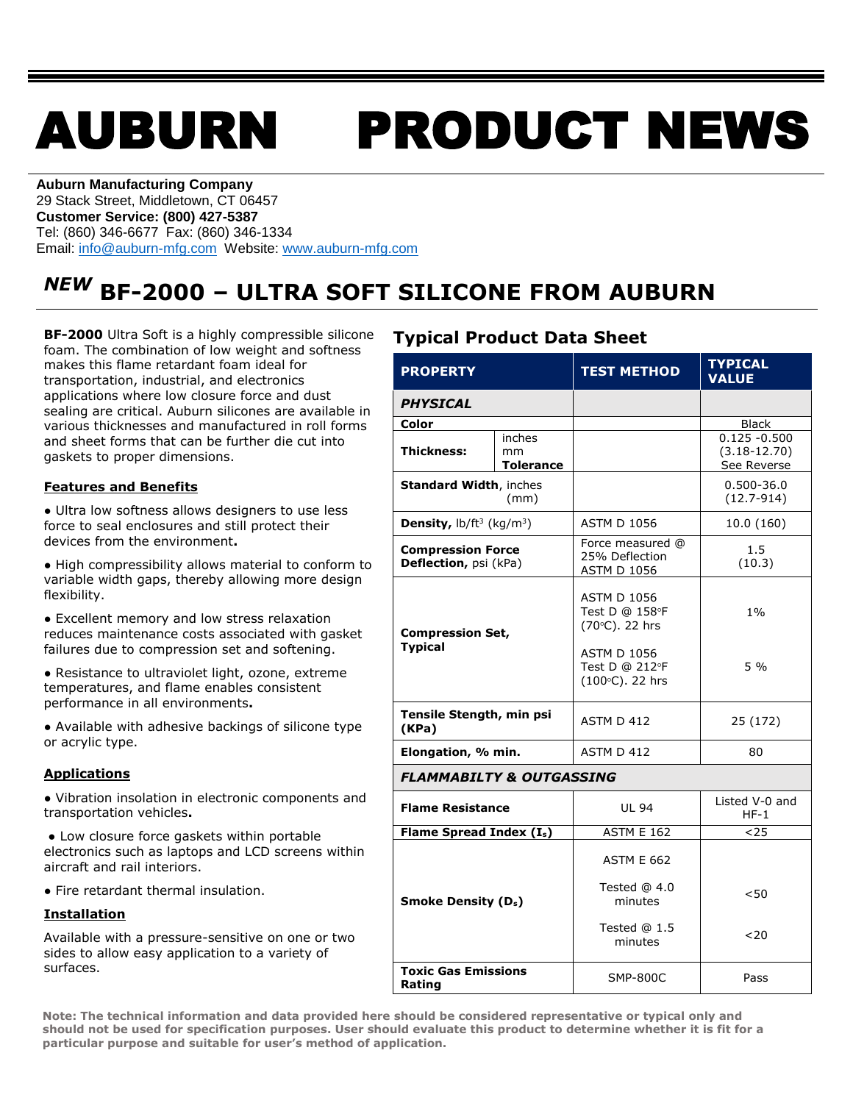# AUBURN PRODUCT NEWS

**Auburn Manufacturing Company** 29 Stack Street, Middletown, CT 06457 **Customer Service: (800) 427-5387** Tel: (860) 346-6677 Fax: (860) 346-1334 Email: [info@auburn-mfg.com](mailto:info@auburn-mfg.com) Website: [www.auburn-mfg.com](http://www.auburn-mfg.com/)

## *NEW* **BF-2000 – ULTRA SOFT SILICONE FROM AUBURN**

**BF-2000** Ultra Soft is a highly compressible silicone foam. The combination of low weight and softness makes this flame retardant foam ideal for transportation, industrial, and electronics applications where low closure force and dust sealing are critical. Auburn silicones are available in various thicknesses and manufactured in roll forms and sheet forms that can be further die cut into gaskets to proper dimensions.

#### **Features and Benefits**

**●** Ultra low softness allows designers to use less force to seal enclosures and still protect their devices from the environment**.** 

**●** High compressibility allows material to conform to variable width gaps, thereby allowing more design flexibility.

**●** Excellent memory and low stress relaxation reduces maintenance costs associated with gasket failures due to compression set and softening.

**●** Resistance to ultraviolet light, ozone, extreme temperatures, and flame enables consistent performance in all environments**.** 

**●** Available with adhesive backings of silicone type or acrylic type.

#### **Applications**

**●** Vibration insolation in electronic components and transportation vehicles**.**

**●** Low closure force gaskets within portable electronics such as laptops and LCD screens within aircraft and rail interiors.

**●** Fire retardant thermal insulation.

#### **Installation**

Available with a pressure-sensitive on one or two sides to allow easy application to a variety of surfaces.

#### **Typical Product Data Sheet**

| <b>PROPERTY</b>                                       |                                  | <b>TEST METHOD</b>                                       | <b>TYPICAL</b><br><b>VALUE</b>                     |  |  |
|-------------------------------------------------------|----------------------------------|----------------------------------------------------------|----------------------------------------------------|--|--|
| <b>PHYSICAL</b>                                       |                                  |                                                          |                                                    |  |  |
| Color                                                 |                                  |                                                          | <b>Black</b>                                       |  |  |
| <b>Thickness:</b>                                     | inches<br>mm<br><b>Tolerance</b> |                                                          | $0.125 - 0.500$<br>$(3.18 - 12.70)$<br>See Reverse |  |  |
| <b>Standard Width, inches</b><br>(mm)                 |                                  |                                                          | 0.500-36.0<br>$(12.7 - 914)$                       |  |  |
| <b>Density,</b> $\frac{b}{ft^3}$ (kg/m <sup>3</sup> ) |                                  | <b>ASTM D 1056</b>                                       | 10.0 (160)                                         |  |  |
| <b>Compression Force</b><br>Deflection, psi (kPa)     |                                  | Force measured @<br>25% Deflection<br><b>ASTM D 1056</b> | 1.5<br>(10.3)                                      |  |  |
| <b>Compression Set,</b><br><b>Typical</b>             |                                  | <b>ASTM D 1056</b><br>Test D @ 158°F<br>(70°C). 22 hrs   | 1%                                                 |  |  |
|                                                       |                                  | <b>ASTM D 1056</b><br>Test D @ 212°F<br>(100°C). 22 hrs  | $5\%$                                              |  |  |
| Tensile Stength, min psi<br>(KPa)                     |                                  | ASTM D 412                                               | 25 (172)                                           |  |  |
| Elongation, % min.                                    |                                  | ASTM D 412                                               | 80                                                 |  |  |
| <b>FLAMMABILTY &amp; OUTGASSING</b>                   |                                  |                                                          |                                                    |  |  |
| <b>Flame Resistance</b>                               |                                  | <b>UL 94</b>                                             | Listed V-0 and<br>$HF-1$                           |  |  |
| Flame Spread Index $(I_s)$                            |                                  | <b>ASTM E 162</b>                                        | $25$                                               |  |  |
|                                                       |                                  | <b>ASTM E 662</b>                                        |                                                    |  |  |
| <b>Smoke Density (D<sub>s</sub>)</b>                  |                                  | Tested @ 4.0<br>minutes                                  | < 50                                               |  |  |
|                                                       |                                  | Tested $@1.5$<br>minutes                                 | $20$                                               |  |  |
| <b>Toxic Gas Emissions</b><br>Rating                  |                                  | <b>SMP-800C</b>                                          | Pass                                               |  |  |

**Note: The technical information and data provided here should be considered representative or typical only and should not be used for specification purposes. User should evaluate this product to determine whether it is fit for a particular purpose and suitable for user's method of application.**